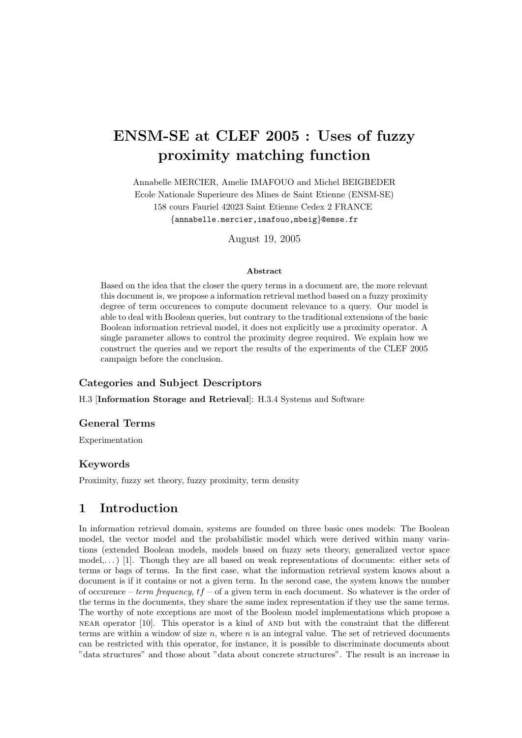# ENSM-SE at CLEF 2005 : Uses of fuzzy proximity matching function

Annabelle MERCIER, Amelie IMAFOUO and Michel BEIGBEDER Ecole Nationale Superieure des Mines de Saint Etienne (ENSM-SE) 158 cours Fauriel 42023 Saint Etienne Cedex 2 FRANCE

{annabelle.mercier,imafouo,mbeig}@emse.fr

August 19, 2005

#### Abstract

Based on the idea that the closer the query terms in a document are, the more relevant this document is, we propose a information retrieval method based on a fuzzy proximity degree of term occurences to compute document relevance to a query. Our model is able to deal with Boolean queries, but contrary to the traditional extensions of the basic Boolean information retrieval model, it does not explicitly use a proximity operator. A single parameter allows to control the proximity degree required. We explain how we construct the queries and we report the results of the experiments of the CLEF 2005 campaign before the conclusion.

### Categories and Subject Descriptors

H.3 [Information Storage and Retrieval]: H.3.4 Systems and Software

### General Terms

Experimentation

### Keywords

Proximity, fuzzy set theory, fuzzy proximity, term density

## 1 Introduction

In information retrieval domain, systems are founded on three basic ones models: The Boolean model, the vector model and the probabilistic model which were derived within many variations (extended Boolean models, models based on fuzzy sets theory, generalized vector space model,...) [1]. Though they are all based on weak representations of documents: either sets of terms or bags of terms. In the first case, what the information retrieval system knows about a document is if it contains or not a given term. In the second case, the system knows the number of occurence – term frequency,  $tf$  – of a given term in each document. So whatever is the order of the terms in the documents, they share the same index representation if they use the same terms. The worthy of note exceptions are most of the Boolean model implementations which propose a near operator [10]. This operator is a kind of and but with the constraint that the different terms are within a window of size  $n$ , where  $n$  is an integral value. The set of retrieved documents can be restricted with this operator, for instance, it is possible to discriminate documents about "data structures" and those about "data about concrete structures". The result is an increase in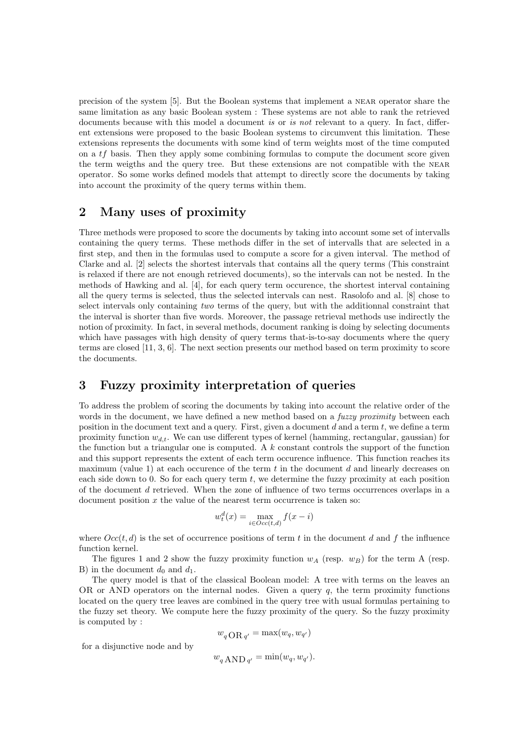precision of the system [5]. But the Boolean systems that implement a near operator share the same limitation as any basic Boolean system : These systems are not able to rank the retrieved documents because with this model a document is or is not relevant to a query. In fact, different extensions were proposed to the basic Boolean systems to circumvent this limitation. These extensions represents the documents with some kind of term weights most of the time computed on a tf basis. Then they apply some combining formulas to compute the document score given the term weigths and the query tree. But these extensions are not compatible with the near operator. So some works defined models that attempt to directly score the documents by taking into account the proximity of the query terms within them.

## 2 Many uses of proximity

Three methods were proposed to score the documents by taking into account some set of intervalls containing the query terms. These methods differ in the set of intervalls that are selected in a first step, and then in the formulas used to compute a score for a given interval. The method of Clarke and al. [2] selects the shortest intervals that contains all the query terms (This constraint is relaxed if there are not enough retrieved documents), so the intervals can not be nested. In the methods of Hawking and al. [4], for each query term occurence, the shortest interval containing all the query terms is selected, thus the selected intervals can nest. Rasolofo and al. [8] chose to select intervals only containing two terms of the query, but with the additionnal constraint that the interval is shorter than five words. Moreover, the passage retrieval methods use indirectly the notion of proximity. In fact, in several methods, document ranking is doing by selecting documents which have passages with high density of query terms that-is-to-say documents where the query terms are closed [11, 3, 6]. The next section presents our method based on term proximity to score the documents.

# 3 Fuzzy proximity interpretation of queries

To address the problem of scoring the documents by taking into account the relative order of the words in the document, we have defined a new method based on a *fuzzy proximity* between each position in the document text and a query. First, given a document  $d$  and a term  $t$ , we define a term proximity function  $w_{d,t}$ . We can use different types of kernel (hamming, rectangular, gaussian) for the function but a triangular one is computed. A  $k$  constant controls the support of the function and this support represents the extent of each term occurence influence. This function reaches its maximum (value 1) at each occurence of the term  $t$  in the document  $d$  and linearly decreases on each side down to 0. So for each query term  $t$ , we determine the fuzzy proximity at each position of the document d retrieved. When the zone of influence of two terms occurrences overlaps in a document position  $x$  the value of the nearest term occurrence is taken so:

$$
w_t^d(x) = \max_{i \in Occ(t,d)} f(x - i)
$$

where  $Occ(t, d)$  is the set of occurrence positions of term t in the document d and f the influence function kernel.

The figures 1 and 2 show the fuzzy proximity function  $w_A$  (resp.  $w_B$ ) for the term A (resp. B) in the document  $d_0$  and  $d_1$ .

The query model is that of the classical Boolean model: A tree with terms on the leaves an OR or AND operators on the internal nodes. Given a query  $q$ , the term proximity functions located on the query tree leaves are combined in the query tree with usual formulas pertaining to the fuzzy set theory. We compute here the fuzzy proximity of the query. So the fuzzy proximity is computed by :

$$
w_q \text{OR}_{q'} = \max(w_q, w_{q'})
$$

for a disjunctive node and by

$$
w_q \,\text{AND}\,_{q'} = \min(w_q, w_{q'}).
$$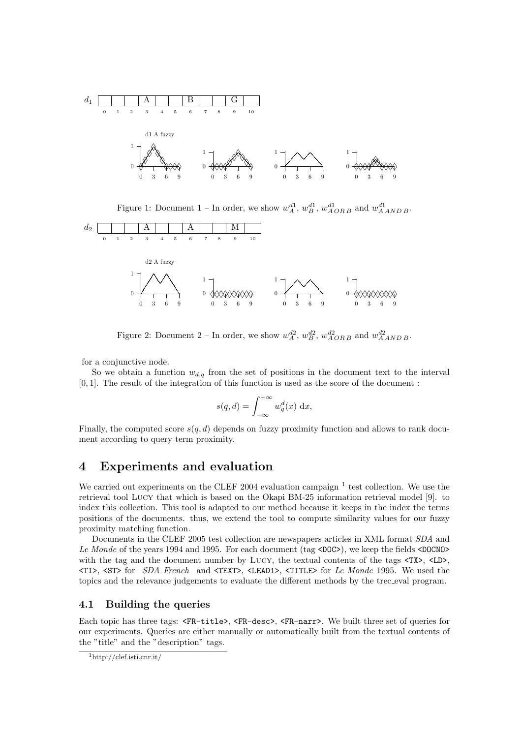

Figure 1: Document 1 – In order, we show  $w_A^{d_1}$ ,  $w_B^{d_1}$ ,  $w_{AORB}^{d_1}$  and  $w_{AANDB}^{d_1}$ .



Figure 2: Document 2 – In order, we show  $w_A^{d2}$ ,  $w_B^{d2}$ ,  $w_{AORB}^{d2}$  and  $w_{AANDB}^{d2}$ .

for a conjunctive node.

So we obtain a function  $w_{d,q}$  from the set of positions in the document text to the interval [0, 1]. The result of the integration of this function is used as the score of the document :

$$
s(q, d) = \int_{-\infty}^{+\infty} w_q^d(x) \, \mathrm{d}x,
$$

Finally, the computed score  $s(q, d)$  depends on fuzzy proximity function and allows to rank document according to query term proximity.

# 4 Experiments and evaluation

We carried out experiments on the CLEF 2004 evaluation campaign  $<sup>1</sup>$  test collection. We use the</sup> retrieval tool Lucy that which is based on the Okapi BM-25 information retrieval model [9]. to index this collection. This tool is adapted to our method because it keeps in the index the terms positions of the documents. thus, we extend the tool to compute similarity values for our fuzzy proximity matching function.

Documents in the CLEF 2005 test collection are newspapers articles in XML format SDA and Le Monde of the years 1994 and 1995. For each document (tag <DOC>), we keep the fields <DOCNO with the tag and the document number by LUCY, the textual contents of the tags  $\langle TX \rangle$ ,  $\langle LD \rangle$ , <TI>, <ST> for SDA French and <TEXT>, <LEAD1>, <TITLE> for Le Monde 1995. We used the topics and the relevance judgements to evaluate the different methods by the trec eval program.

### 4.1 Building the queries

Each topic has three tags: <FR-title>, <FR-desc>, <FR-narr>. We built three set of queries for our experiments. Queries are either manually or automatically built from the textual contents of the "title" and the "description" tags.

<sup>1</sup>http://clef.isti.cnr.it/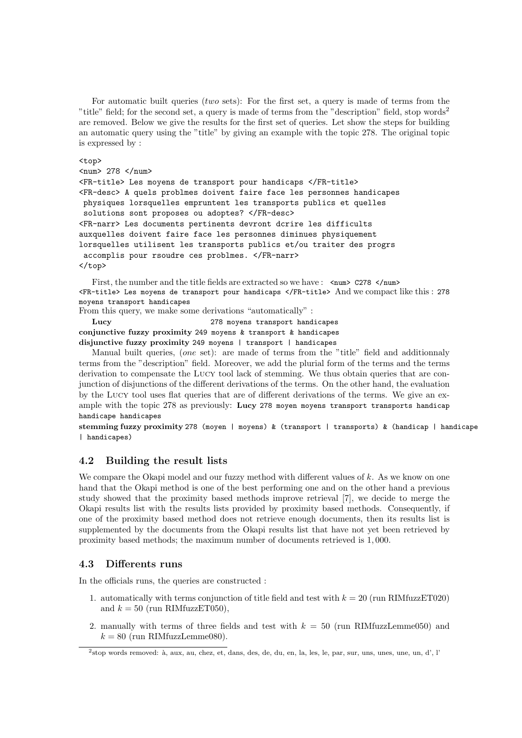For automatic built queries (two sets): For the first set, a query is made of terms from the "title" field; for the second set, a query is made of terms from the "description" field, stop words<sup>2</sup> are removed. Below we give the results for the first set of queries. Let show the steps for building an automatic query using the "title" by giving an example with the topic 278. The original topic is expressed by :

<top>

```
<num> 278 </num>
```

```
<FR-title> Les moyens de transport pour handicaps </FR-title>
<FR-desc> A quels problmes doivent faire face les personnes handicapes
physiques lorsquelles empruntent les transports publics et quelles
 solutions sont proposes ou adoptes? </FR-desc>
<FR-narr> Les documents pertinents devront dcrire les difficults
auxquelles doivent faire face les personnes diminues physiquement
lorsquelles utilisent les transports publics et/ou traiter des progrs
 accomplis pour rsoudre ces problmes. </FR-narr>
</top>
```
First, the number and the title fields are extracted so we have :  $\langle num \rangle$  C278  $\langle num \rangle$ <FR-title> Les moyens de transport pour handicaps </FR-title> And we compact like this : 278 moyens transport handicapes

From this query, we make some derivations "automatically" :

Lucy 278 moyens transport handicapes conjunctive fuzzy proximity 249 moyens & transport & handicapes disjunctive fuzzy proximity 249 moyens | transport | handicapes

Manual built queries, (one set): are made of terms from the "title" field and additionnaly terms from the "description" field. Moreover, we add the plurial form of the terms and the terms derivation to compensate the Lucy tool lack of stemming. We thus obtain queries that are conjunction of disjunctions of the different derivations of the terms. On the other hand, the evaluation by the Lucy tool uses flat queries that are of different derivations of the terms. We give an example with the topic 278 as previously: Lucy 278 moyen moyens transport transports handicap handicape handicapes

stemming fuzzy proximity 278 (moyen | moyens) & (transport | transports) & (handicap | handicape | handicapes)

### 4.2 Building the result lists

We compare the Okapi model and our fuzzy method with different values of k. As we know on one hand that the Okapi method is one of the best performing one and on the other hand a previous study showed that the proximity based methods improve retrieval [7], we decide to merge the Okapi results list with the results lists provided by proximity based methods. Consequently, if one of the proximity based method does not retrieve enough documents, then its results list is supplemented by the documents from the Okapi results list that have not yet been retrieved by proximity based methods; the maximum number of documents retrieved is 1, 000.

### 4.3 Differents runs

In the officials runs, the queries are constructed :

- 1. automatically with terms conjunction of title field and test with  $k = 20$  (run RIMfuzzET020) and  $k = 50$  (run RIMfuzzET050),
- 2. manually with terms of three fields and test with  $k = 50$  (run RIMfuzzLemme050) and  $k = 80$  (run RIMfuzzLemme080).

<sup>&</sup>lt;sup>2</sup>stop words removed: à, aux, au, chez, et, dans, des, de, du, en, la, les, le, par, sur, uns, unes, une, un, d', l'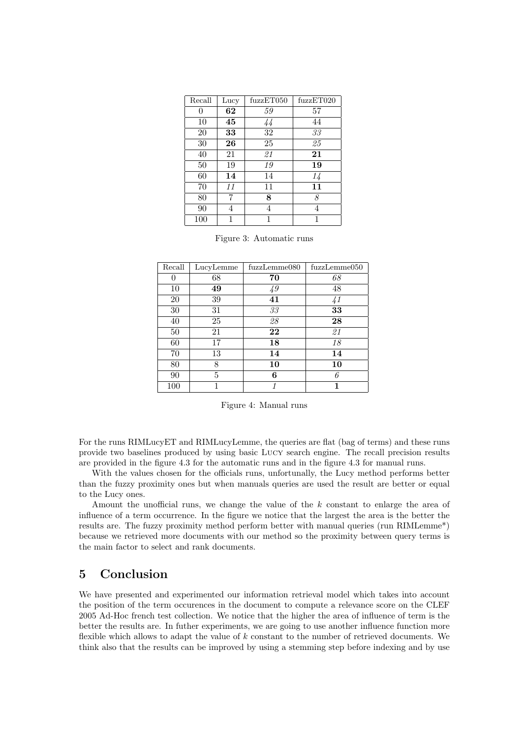| Recall | Lucy | fuzzET050 | fuzzET020 |  |
|--------|------|-----------|-----------|--|
| 0      | 62   | 59        | 57        |  |
| 10     | 45   | 44        | 44        |  |
| 20     | 33   | 32        | 33        |  |
| 30     | 26   | 25        | 25        |  |
| 40     | 21   | 21        | 21        |  |
| 50     | 19   | 19        | 19        |  |
| 60     | 14   | 14        | 14        |  |
| 70     | 11   | 11        | 11        |  |
| 80     | 7    | 8         | 8         |  |
| 90     | 4    | 4         | 4         |  |
| 100    |      |           |           |  |

Figure 3: Automatic runs

| Recall | LucyLemme | fuzzLemme080             | fuzzLemme050  |
|--------|-----------|--------------------------|---------------|
| 0      | 68        | 70                       | 68            |
| 10     | 49        | 49                       | 48            |
| 20     | 39        | 41                       | $\frac{1}{4}$ |
| 30     | 31        | $\mathcal{3}\mathcal{3}$ | 33            |
| 40     | 25        | 28                       | 28            |
| 50     | 21        | 22                       | 21            |
| 60     | 17        | 18                       | 18            |
| 70     | 13        | 14                       | 14            |
| 80     | 8         | 10                       | 10            |
| 90     | 5         | 6                        | 6             |
| 100    |           |                          |               |

Figure 4: Manual runs

For the runs RIMLucyET and RIMLucyLemme, the queries are flat (bag of terms) and these runs provide two baselines produced by using basic Lucy search engine. The recall precision results are provided in the figure 4.3 for the automatic runs and in the figure 4.3 for manual runs.

With the values chosen for the officials runs, unfortunally, the Lucy method performs better than the fuzzy proximity ones but when manuals queries are used the result are better or equal to the Lucy ones.

Amount the unofficial runs, we change the value of the  $k$  constant to enlarge the area of influence of a term occurrence. In the figure we notice that the largest the area is the better the results are. The fuzzy proximity method perform better with manual queries (run RIMLemme\*) because we retrieved more documents with our method so the proximity between query terms is the main factor to select and rank documents.

# 5 Conclusion

We have presented and experimented our information retrieval model which takes into account the position of the term occurences in the document to compute a relevance score on the CLEF 2005 Ad-Hoc french test collection. We notice that the higher the area of influence of term is the better the results are. In futher experiments, we are going to use another influence function more flexible which allows to adapt the value of k constant to the number of retrieved documents. We think also that the results can be improved by using a stemming step before indexing and by use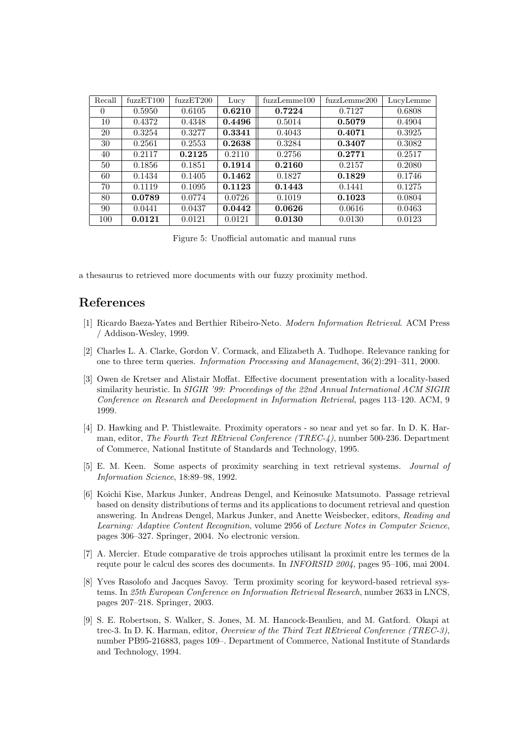| Recall   | fuzzET100 | fuzzET200 | Lucy   | fuzzLemma 100 | fuzzLemme200 | LucyLemme |
|----------|-----------|-----------|--------|---------------|--------------|-----------|
| $\theta$ | 0.5950    | 0.6105    | 0.6210 | 0.7224        | 0.7127       | 0.6808    |
| 10       | 0.4372    | 0.4348    | 0.4496 | 0.5014        | 0.5079       | 0.4904    |
| 20       | 0.3254    | 0.3277    | 0.3341 | 0.4043        | 0.4071       | 0.3925    |
| 30       | 0.2561    | 0.2553    | 0.2638 | 0.3284        | 0.3407       | 0.3082    |
| 40       | 0.2117    | 0.2125    | 0.2110 | 0.2756        | 0.2771       | 0.2517    |
| 50       | 0.1856    | 0.1851    | 0.1914 | 0.2160        | 0.2157       | 0.2080    |
| 60       | 0.1434    | 0.1405    | 0.1462 | 0.1827        | 0.1829       | 0.1746    |
| 70       | 0.1119    | 0.1095    | 0.1123 | 0.1443        | 0.1441       | 0.1275    |
| 80       | 0.0789    | 0.0774    | 0.0726 | 0.1019        | 0.1023       | 0.0804    |
| 90       | 0.0441    | 0.0437    | 0.0442 | 0.0626        | 0.0616       | 0.0463    |
| 100      | 0.0121    | 0.0121    | 0.0121 | 0.0130        | 0.0130       | 0.0123    |

Figure 5: Unofficial automatic and manual runs

a thesaurus to retrieved more documents with our fuzzy proximity method.

# References

- [1] Ricardo Baeza-Yates and Berthier Ribeiro-Neto. Modern Information Retrieval. ACM Press / Addison-Wesley, 1999.
- [2] Charles L. A. Clarke, Gordon V. Cormack, and Elizabeth A. Tudhope. Relevance ranking for one to three term queries. Information Processing and Management, 36(2):291–311, 2000.
- [3] Owen de Kretser and Alistair Moffat. Effective document presentation with a locality-based similarity heuristic. In SIGIR '99: Proceedings of the 22nd Annual International ACM SIGIR Conference on Research and Development in Information Retrieval, pages 113–120. ACM, 9 1999.
- [4] D. Hawking and P. Thistlewaite. Proximity operators so near and yet so far. In D. K. Harman, editor, The Fourth Text REtrieval Conference (TREC-4), number 500-236. Department of Commerce, National Institute of Standards and Technology, 1995.
- [5] E. M. Keen. Some aspects of proximity searching in text retrieval systems. Journal of Information Science, 18:89–98, 1992.
- [6] Koichi Kise, Markus Junker, Andreas Dengel, and Keinosuke Matsumoto. Passage retrieval based on density distributions of terms and its applications to document retrieval and question answering. In Andreas Dengel, Markus Junker, and Anette Weisbecker, editors, Reading and Learning: Adaptive Content Recognition, volume 2956 of Lecture Notes in Computer Science, pages 306–327. Springer, 2004. No electronic version.
- [7] A. Mercier. Etude comparative de trois approches utilisant la proximit entre les termes de la requte pour le calcul des scores des documents. In INFORSID 2004, pages 95–106, mai 2004.
- [8] Yves Rasolofo and Jacques Savoy. Term proximity scoring for keyword-based retrieval systems. In 25th European Conference on Information Retrieval Research, number 2633 in LNCS, pages 207–218. Springer, 2003.
- [9] S. E. Robertson, S. Walker, S. Jones, M. M. Hancock-Beaulieu, and M. Gatford. Okapi at trec-3. In D. K. Harman, editor, Overview of the Third Text REtrieval Conference (TREC-3), number PB95-216883, pages 109–. Department of Commerce, National Institute of Standards and Technology, 1994.